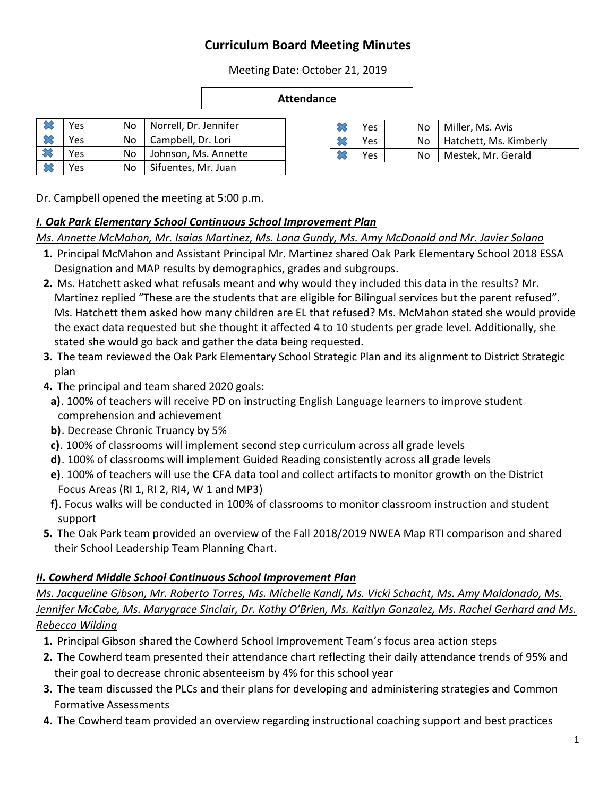## **Curriculum Board Meeting Minutes**

Meeting Date: October 21, 2019

#### **Attendance**

|              | Yes. | No.                       | Norrell, Dr. Jennifer |
|--------------|------|---------------------------|-----------------------|
| $\mathbb{Z}$ | Yes  | Campbell, Dr. Lori<br>No. |                       |
| $\infty$     | Yes  | No                        | Johnson, Ms. Annette  |
|              | Yes  | No                        | Sifuentes, Mr. Juan   |

| סטטווואז נושטו  |  | 152 | IΝU |  |
|-----------------|--|-----|-----|--|
| entes, Mr. Juan |  |     |     |  |
|                 |  |     |     |  |

Dr. Campbell opened the meeting at 5:00 p.m.

#### *I. Oak Park Elementary School Continuous School Improvement Plan*

#### *Ms. Annette McMahon, Mr. Isaias Martinez, Ms. Lana Gundy, Ms. Amy McDonald and Mr. Javier Solano*

- **1.** Principal McMahon and Assistant Principal Mr. Martinez shared Oak Park Elementary School 2018 ESSA Designation and MAP results by demographics, grades and subgroups.
- **2.** Ms. Hatchett asked what refusals meant and why would they included this data in the results? Mr. Martinez replied "These are the students that are eligible for Bilingual services but the parent refused". Ms. Hatchett them asked how many children are EL that refused? Ms. McMahon stated she would provide the exact data requested but she thought it affected 4 to 10 students per grade level. Additionally, she stated she would go back and gather the data being requested.
- **3.** The team reviewed the Oak Park Elementary School Strategic Plan and its alignment to District Strategic plan
- **4.** The principal and team shared 2020 goals:
	- **a)**. 100% of teachers will receive PD on instructing English Language learners to improve student comprehension and achievement
	- **b)**. Decrease Chronic Truancy by 5%
	- **c)**. 100% of classrooms will implement second step curriculum across all grade levels
	- **d)**. 100% of classrooms will implement Guided Reading consistently across all grade levels
	- **e)**. 100% of teachers will use the CFA data tool and collect artifacts to monitor growth on the District Focus Areas (RI 1, RI 2, RI4, W 1 and MP3)
- **f)**. Focus walks will be conducted in 100% of classrooms to monitor classroom instruction and student support
- **5.** The Oak Park team provided an overview of the Fall 2018/2019 NWEA Map RTI comparison and shared their School Leadership Team Planning Chart.

## *II. Cowherd Middle School Continuous School Improvement Plan*

## *Ms. Jacqueline Gibson, Mr. Roberto Torres, Ms. Michelle Kandl, Ms. Vicki Schacht, Ms. Amy Maldonado, Ms. Jennifer McCabe, Ms. Marygrace Sinclair, Dr. Kathy O'Brien, Ms. Kaitlyn Gonzalez, Ms. Rachel Gerhard and Ms. Rebecca Wilding*

- **1.** Principal Gibson shared the Cowherd School Improvement Team's focus area action steps
- **2.** The Cowherd team presented their attendance chart reflecting their daily attendance trends of 95% and their goal to decrease chronic absenteeism by 4% for this school year
- **3.** The team discussed the PLCs and their plans for developing and administering strategies and Common Formative Assessments
- **4.** The Cowherd team provided an overview regarding instructional coaching support and best practices

| Yes | Nο  | Miller, Ms. Avis       |
|-----|-----|------------------------|
| Yes | No. | Hatchett, Ms. Kimberly |
| Yes | Nο  | Mestek, Mr. Gerald     |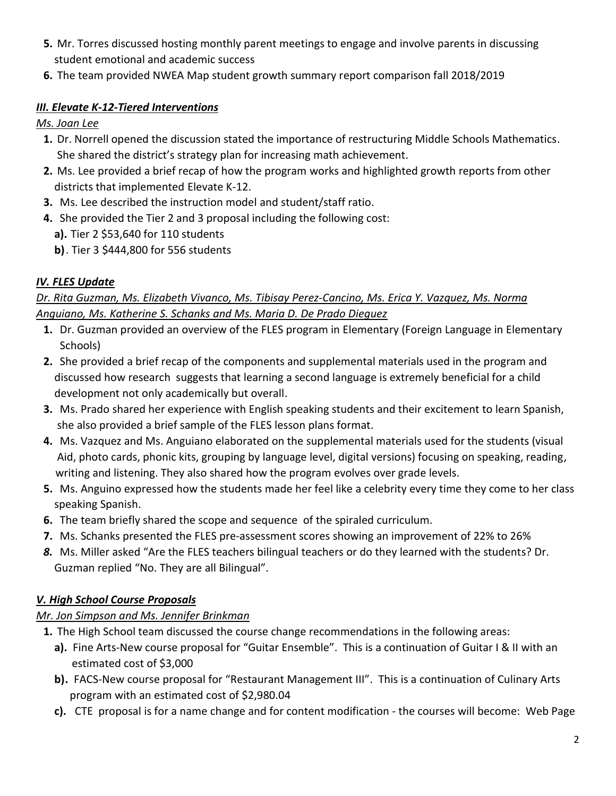- **5.** Mr. Torres discussed hosting monthly parent meetings to engage and involve parents in discussing student emotional and academic success
- **6.** The team provided NWEA Map student growth summary report comparison fall 2018/2019

## *III. Elevate K-12-Tiered Interventions*

*Ms. Joan Lee*

- **1.** Dr. Norrell opened the discussion stated the importance of restructuring Middle Schools Mathematics. She shared the district's strategy plan for increasing math achievement.
- **2.** Ms. Lee provided a brief recap of how the program works and highlighted growth reports from other districts that implemented Elevate K-12.
- **3.** Ms. Lee described the instruction model and student/staff ratio.
- **4.** She provided the Tier 2 and 3 proposal including the following cost:
	- **a).** Tier 2 \$53,640 for 110 students
	- **b)**. Tier 3 \$444,800 for 556 students

## *IV. FLES Update*

## *Dr. Rita Guzman, Ms. Elizabeth Vivanco, Ms. Tibisay Perez-Cancino, Ms. Erica Y. Vazquez, Ms. Norma Anguiano, Ms. Katherine S. Schanks and Ms. Maria D. De Prado Dieguez*

- **1.** Dr. Guzman provided an overview of the FLES program in Elementary (Foreign Language in Elementary Schools)
- **2.** She provided a brief recap of the components and supplemental materials used in the program and discussed how research suggests that learning a second language is extremely beneficial for a child development not only academically but overall.
- **3.** Ms. Prado shared her experience with English speaking students and their excitement to learn Spanish, she also provided a brief sample of the FLES lesson plans format.
- **4.** Ms. Vazquez and Ms. Anguiano elaborated on the supplemental materials used for the students (visual Aid, photo cards, phonic kits, grouping by language level, digital versions) focusing on speaking, reading, writing and listening. They also shared how the program evolves over grade levels.
- **5.** Ms. Anguino expressed how the students made her feel like a celebrity every time they come to her class speaking Spanish.
- **6.** The team briefly shared the scope and sequence of the spiraled curriculum.
- **7.** Ms. Schanks presented the FLES pre-assessment scores showing an improvement of 22% to 26%
- *8.* Ms. Miller asked "Are the FLES teachers bilingual teachers or do they learned with the students? Dr. Guzman replied "No. They are all Bilingual".

# *V. High School Course Proposals*

## *Mr. Jon Simpson and Ms. Jennifer Brinkman*

- **1.** The High School team discussed the course change recommendations in the following areas:
	- **a).** Fine Arts-New course proposal for "Guitar Ensemble". This is a continuation of Guitar I & II with an estimated cost of \$3,000
	- **b).** FACS-New course proposal for "Restaurant Management III". This is a continuation of Culinary Arts program with an estimated cost of \$2,980.04
	- **c).** CTE proposal is for a name change and for content modification the courses will become: Web Page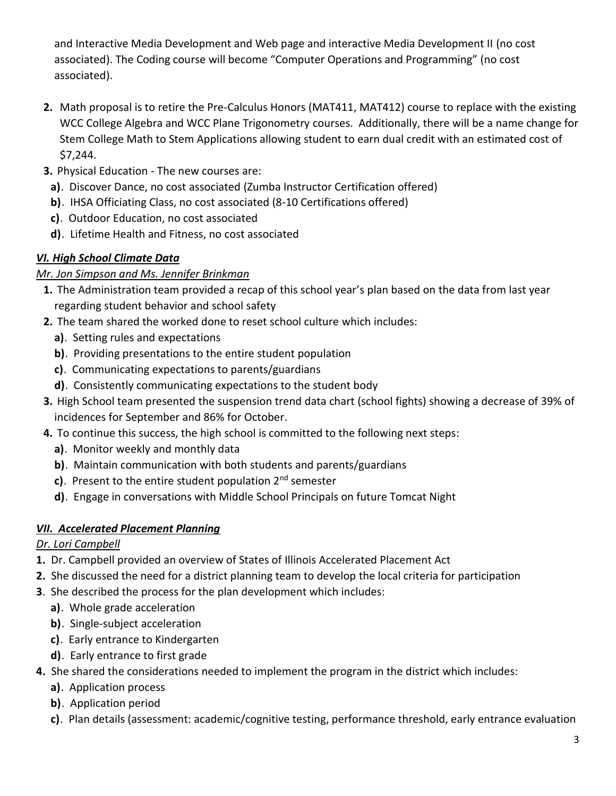and Interactive Media Development and Web page and interactive Media Development II (no cost associated). The Coding course will become "Computer Operations and Programming" (no cost associated).

- **2.** Math proposal is to retire the Pre-Calculus Honors (MAT411, MAT412) course to replace with the existing WCC College Algebra and WCC Plane Trigonometry courses. Additionally, there will be a name change for Stem College Math to Stem Applications allowing student to earn dual credit with an estimated cost of \$7,244.
- **3.** Physical Education The new courses are:
	- **a)**. Discover Dance, no cost associated (Zumba Instructor Certification offered)
	- **b)**. IHSA Officiating Class, no cost associated (8-10 Certifications offered)
	- **c)**. Outdoor Education, no cost associated
	- **d)**. Lifetime Health and Fitness, no cost associated

### *VI. High School Climate Data*

#### *Mr. Jon Simpson and Ms. Jennifer Brinkman*

- **1.** The Administration team provided a recap of this school year's plan based on the data from last year regarding student behavior and school safety
- **2.** The team shared the worked done to reset school culture which includes:
	- **a)**. Setting rules and expectations
	- **b)**. Providing presentations to the entire student population
	- **c)**. Communicating expectations to parents/guardians
	- **d)**. Consistently communicating expectations to the student body
- **3.** High School team presented the suspension trend data chart (school fights) showing a decrease of 39% of incidences for September and 86% for October.
- **4.** To continue this success, the high school is committed to the following next steps:
	- **a)**. Monitor weekly and monthly data
	- **b)**. Maintain communication with both students and parents/guardians
	- **c)**. Present to the entire student population 2<sup>nd</sup> semester
	- **d)**. Engage in conversations with Middle School Principals on future Tomcat Night

## *VII. Accelerated Placement Planning*

## *Dr. Lori Campbell*

- **1.** Dr. Campbell provided an overview of States of Illinois Accelerated Placement Act
- **2.** She discussed the need for a district planning team to develop the local criteria for participation
- **3**. She described the process for the plan development which includes:
	- **a)**. Whole grade acceleration
	- **b)**. Single-subject acceleration
	- **c)**. Early entrance to Kindergarten
	- **d)**. Early entrance to first grade
- **4.** She shared the considerations needed to implement the program in the district which includes:
	- **a)**. Application process
	- **b)**. Application period
	- **c)**. Plan details (assessment: academic/cognitive testing, performance threshold, early entrance evaluation